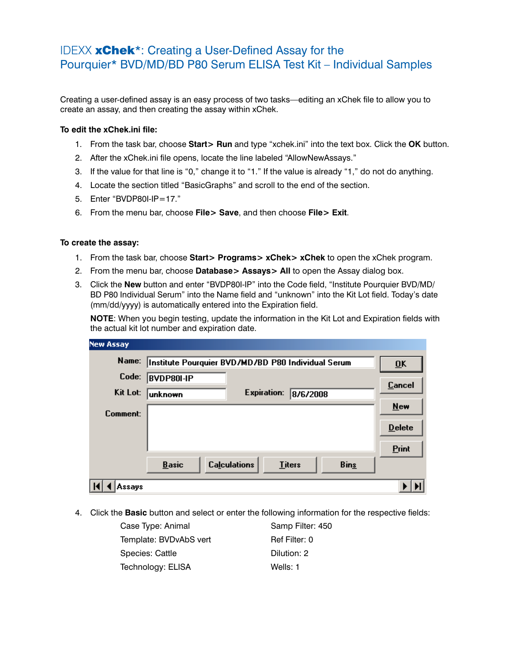## IDEXX xChek\*: Creating a User-Defined Assay for the Pourquier\* BVD/MD/BD P80 Serum ELISA Test Kit – Individual Samples

Creating a user-defined assay is an easy process of two tasks—editing an xChek file to allow you to create an assay, and then creating the assay within xChek.

## **To edit the xChek.ini file:**

- 1. From the task bar, choose **Start> Run** and type "xchek.ini" into the text box. Click the **OK** button.
- 2. After the xChek.ini file opens, locate the line labeled "AllowNewAssays."
- 3. If the value for that line is "0," change it to "1." If the value is already "1," do not do anything.
- 4. Locate the section titled "BasicGraphs" and scroll to the end of the section.
- 5. Enter "BVDP80I-IP=17."
- 6. From the menu bar, choose **File> Save**, and then choose **File> Exit**.

## **To create the assay:**

- 1. From the task bar, choose **Start> Programs> xChek> xChek** to open the xChek program.
- 2. From the menu bar, choose **Database> Assays> All** to open the Assay dialog box.
- 3. Click the **New** button and enter "BVDP80I-IP" into the Code field, "Institute Pourquier BVD/MD/ BD P80 Individual Serum" into the Name field and "unknown" into the Kit Lot field. Today's date (mm/dd/yyyy) is automatically entered into the Expiration field.

**NOTE:** When you begin testing, update the information in the Kit Lot and Expiration fields with the actual kit lot number and expiration date.

| <b>New Assay</b> |                                                      |                           |
|------------------|------------------------------------------------------|---------------------------|
| Name:            | Institute Pourquier BVD/MD/BD P80 Individual Serum   | $\overline{\mathbf{0}}$ K |
| Code:            | BVDP80I-IP                                           | <b>Cancel</b>             |
| Kit Lot:         | <b>Expiration:</b><br>8/6/2008<br>unknown            |                           |
| Comment:         |                                                      | <b>New</b>                |
|                  |                                                      | <b>Delete</b>             |
|                  |                                                      | Print                     |
|                  | <b>Calculations</b><br><b>Basic</b><br><b>Titers</b> | <b>Bins</b>               |
| Assays           |                                                      |                           |

4. Click the **Basic** button and select or enter the following information for the respective fields:

| Case Type: Animal      | Samp Filter: 450 |  |  |
|------------------------|------------------|--|--|
| Template: BVDvAbS vert | Ref Filter: 0    |  |  |
| Species: Cattle        | Dilution: 2      |  |  |
| Technology: ELISA      | Wells: 1         |  |  |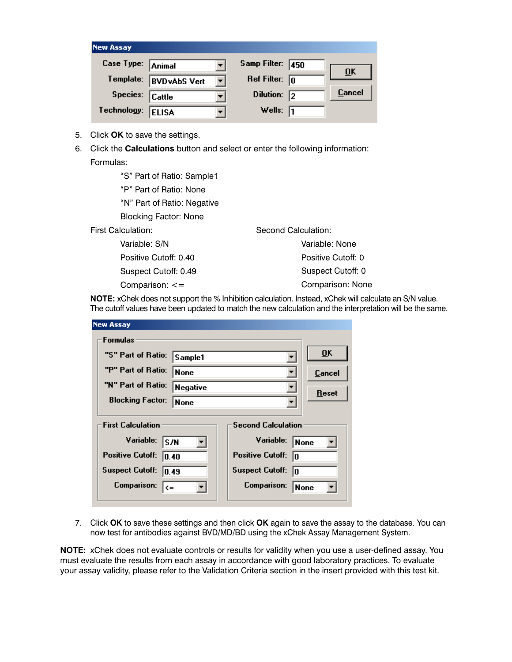| <b>New Assay</b>  |                     |                      |                         |                           |
|-------------------|---------------------|----------------------|-------------------------|---------------------------|
| Case Type: Animal |                     |                      | Samp Filter: 450        |                           |
| Template:         | <b>BVDvAbS Vert</b> | $\blacktriangledown$ | Ref Filter: $\boxed{0}$ | $\overline{\mathbf{0}}$ K |
| Species: Cattle   |                     |                      | Dilution: $\sqrt{2}$    | Cancel                    |
| Technology:       | <b>ELISA</b>        |                      | Wells: $\sqrt{1}$       |                           |

- 5. Click **OK** to save the settings.
- 6. Click the **Calculations** button and select or enter the following information: Formulas:

 "S" Part of Ratio: Sample1 "P" Part of Ratio: None "N" Part of Ratio: Negative Blocking Factor: None First Calculation: Variable: S/N Positive Cutoff: 0.40 Suspect Cutoff: 0.49 Second Calculation: Variable: None

Comparison: <=

 Positive Cutoff: 0 Suspect Cutoff: 0 Comparison: None

**NOTE:** xChek does not support the % Inhibition calculation. Instead, xChek will calculate an S/N value. The cutoff values have been updated to match the new calculation and the interpretation will be the same.

| <b>New Assay</b>                                      |             |  |                               |                           |  |
|-------------------------------------------------------|-------------|--|-------------------------------|---------------------------|--|
| Formulas                                              |             |  |                               |                           |  |
| "S" Part of Ratio:                                    | Sample1     |  | ▼                             | $\overline{\mathbf{0}}$ K |  |
| "P" Part of Ratio:                                    | None        |  |                               | Cancel                    |  |
| "N" Part of Ratio:                                    | Negative    |  |                               | Reset                     |  |
| <b>Blocking Factor:</b>                               | <b>None</b> |  |                               |                           |  |
| <b>First Calculation</b><br><b>Second Calculation</b> |             |  |                               |                           |  |
| Variable:<br>S/N                                      |             |  | Variable:<br> None            |                           |  |
| <b>Positive Cutoff:</b><br>10.40                      |             |  | <b>Positive Cutoff:</b><br>l۵ |                           |  |
| <b>Suspect Cutoff:</b><br>10.49                       |             |  | <b>Suspect Cutoff:</b><br>10  |                           |  |
| Comparison:<br>$\leq$                                 |             |  | <b>Comparison:</b>            | None                      |  |
|                                                       |             |  |                               |                           |  |

7. Click **OK** to save these settings and then click **OK** again to save the assay to the database. You can now test for antibodies against BVD/MD/BD using the xChek Assay Management System.

**NOTE:** xChek does not evaluate controls or results for validity when you use a user-defined assay. You must evaluate the results from each assay in accordance with good laboratory practices. To evaluate your assay validity, please refer to the Validation Criteria section in the insert provided with this test kit.